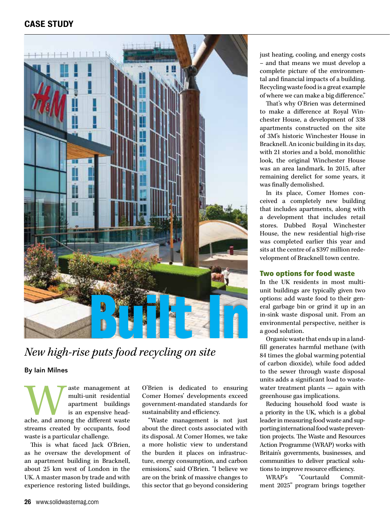# CASE STUDY



*New high-rise puts food recycling on site* 

By Iain Milnes

Waste management at multi-unit residential apartment buildings is an expensive head-<br>ache, and among the different waste multi-unit residential apartment buildings is an expensive headstreams created by occupants, food waste is a particular challenge.

This is what faced Jack O'Brien, as he oversaw the development of an apartment building in Bracknell, about 25 km west of London in the UK. A master mason by trade and with experience restoring listed buildings,

O'Brien is dedicated to ensuring Comer Homes' developments exceed government-mandated standards for sustainability and efficiency.

"Waste management is not just about the direct costs associated with its disposal. At Comer Homes, we take a more holistic view to understand the burden it places on infrastructure, energy consumption, and carbon emissions," said O'Brien. "I believe we are on the brink of massive changes to this sector that go beyond considering just heating, cooling, and energy costs – and that means we must develop a complete picture of the environmental and financial impacts of a building. Recycling waste food is a great example of where we can make a big difference."

That's why O'Brien was determined to make a difference at Royal Winchester House, a development of 338 apartments constructed on the site of 3M's historic Winchester House in Bracknell. An iconic building in its day, with 21 stories and a bold, monolithic look, the original Winchester House was an area landmark. In 2015, after remaining derelict for some years, it was finally demolished.

In its place, Comer Homes conceived a completely new building that includes apartments, along with a development that includes retail stores. Dubbed Royal Winchester House, the new residential high-rise was completed earlier this year and sits at the centre of a \$397 million redevelopment of Bracknell town centre.

#### Two options for food waste

In the UK residents in most multiunit buildings are typically given two options: add waste food to their general garbage bin or grind it up in an in-sink waste disposal unit. From an environmental perspective, neither is a good solution.

Organic waste that ends up in a landfill generates harmful methane (with 84 times the global warming potential of carbon dioxide), while food added to the sewer through waste disposal units adds a significant load to wastewater treatment plants — again with greenhouse gas implications.

Reducing household food waste is a priority in the UK, which is a global leader in measuring food waste and supporting international food waste prevention projects. The Waste and Resources Action Programme (WRAP) works with Britain's governments, businesses, and communities to deliver practical solutions to improve resource efficiency.

WRAP's "Courtauld Commitment 2025" program brings together